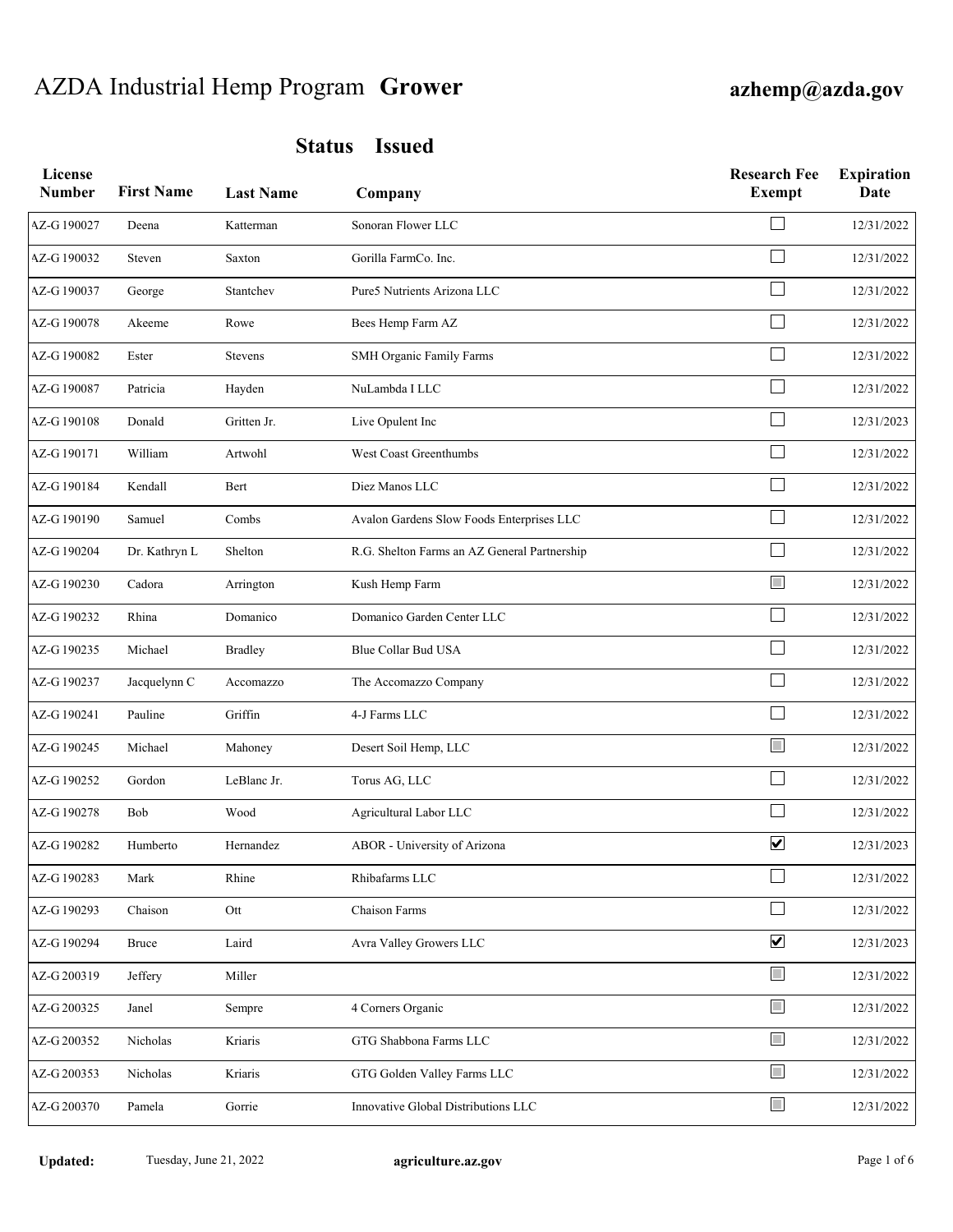# AZDA Industrial Hemp Program **Grower azhemp@azda.gov**

| License<br><b>Number</b> | <b>First Name</b> | <b>Last Name</b> | Company                                      | <b>Research Fee</b><br><b>Exempt</b> | <b>Expiration</b><br><b>Date</b> |
|--------------------------|-------------------|------------------|----------------------------------------------|--------------------------------------|----------------------------------|
| AZ-G190027               | Deena             | Katterman        | Sonoran Flower LLC                           |                                      | 12/31/2022                       |
| AZ-G190032               | Steven            | Saxton           | Gorilla FarmCo. Inc.                         |                                      | 12/31/2022                       |
| AZ-G190037               | George            | Stantchev        | Pure5 Nutrients Arizona LLC                  |                                      | 12/31/2022                       |
| AZ-G190078               | Akeeme            | Rowe             | Bees Hemp Farm AZ                            |                                      | 12/31/2022                       |
| AZ-G190082               | Ester             | Stevens          | SMH Organic Family Farms                     |                                      | 12/31/2022                       |
| AZ-G190087               | Patricia          | Hayden           | NuLambda I LLC                               |                                      | 12/31/2022                       |
| AZ-G190108               | Donald            | Gritten Jr.      | Live Opulent Inc                             |                                      | 12/31/2023                       |
| AZ-G190171               | William           | Artwohl          | West Coast Greenthumbs                       |                                      | 12/31/2022                       |
| AZ-G190184               | Kendall           | Bert             | Diez Manos LLC                               |                                      | 12/31/2022                       |
| AZ-G 190190              | Samuel            | Combs            | Avalon Gardens Slow Foods Enterprises LLC    |                                      | 12/31/2022                       |
| AZ-G 190204              | Dr. Kathryn L     | Shelton          | R.G. Shelton Farms an AZ General Partnership |                                      | 12/31/2022                       |
| AZ-G190230               | Cadora            | Arrington        | Kush Hemp Farm                               | $\Box$                               | 12/31/2022                       |
| AZ-G190232               | Rhina             | Domanico         | Domanico Garden Center LLC                   |                                      | 12/31/2022                       |
| AZ-G190235               | Michael           | <b>Bradley</b>   | Blue Collar Bud USA                          |                                      | 12/31/2022                       |
| AZ-G190237               | Jacquelynn C      | Accomazzo        | The Accomazzo Company                        |                                      | 12/31/2022                       |
| AZ-G 190241              | Pauline           | Griffin          | 4-J Farms LLC                                |                                      | 12/31/2022                       |
| AZ-G 190245              | Michael           | Mahoney          | Desert Soil Hemp, LLC                        | $\Box$                               | 12/31/2022                       |
| AZ-G 190252              | Gordon            | LeBlanc Jr.      | Torus AG, LLC                                |                                      | 12/31/2022                       |
| AZ-G190278               | Bob               | Wood             | Agricultural Labor LLC                       |                                      | 12/31/2022                       |
| AZ-G190282               | Humberto          | Hernandez        | ABOR - University of Arizona                 | $\overline{\mathbf{v}}$              | 12/31/2023                       |
| AZ-G 190283              | Mark              | Rhine            | Rhibafarms LLC                               |                                      | 12/31/2022                       |
| AZ-G 190293              | Chaison           | Ott              | Chaison Farms                                |                                      | 12/31/2022                       |
| AZ-G 190294              | <b>Bruce</b>      | Laird            | Avra Valley Growers LLC                      | $\blacktriangledown$                 | 12/31/2023                       |
| AZ-G 200319              | Jeffery           | Miller           |                                              | $\Box$                               | 12/31/2022                       |
| AZ-G 200325              | Janel             | Sempre           | 4 Corners Organic                            | $\Box$                               | 12/31/2022                       |
| AZ-G 200352              | Nicholas          | Kriaris          | GTG Shabbona Farms LLC                       | $\Box$                               | 12/31/2022                       |
| AZ-G 200353              | Nicholas          | Kriaris          | GTG Golden Valley Farms LLC                  | $\Box$                               | 12/31/2022                       |
| AZ-G 200370              | Pamela            | Gorrie           | Innovative Global Distributions LLC          | $\Box$                               | 12/31/2022                       |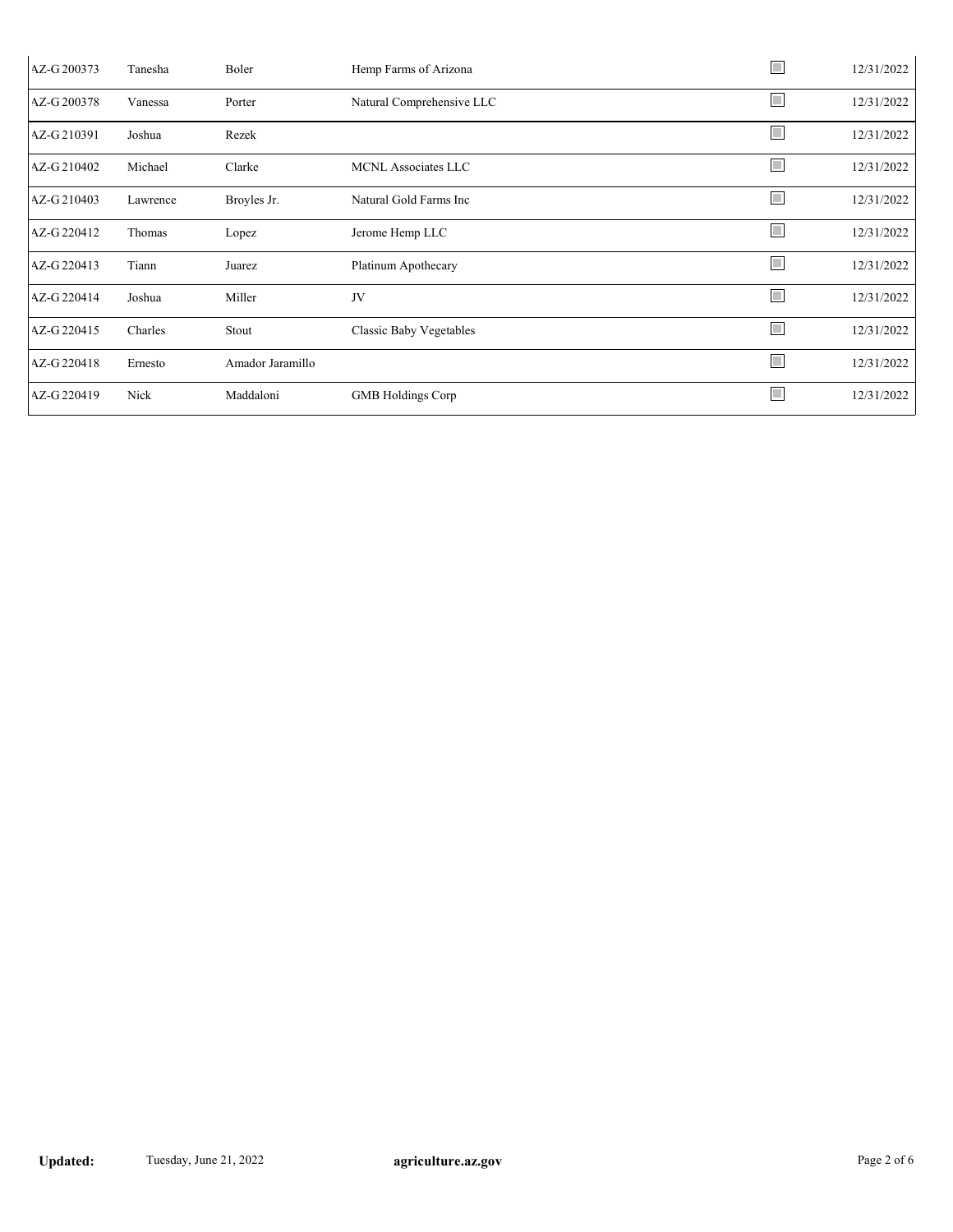| AZ-G 200373 | Tanesha  | Boler            | Hemp Farms of Arizona          | $\mathbb{R}^n$              | 12/31/2022 |
|-------------|----------|------------------|--------------------------------|-----------------------------|------------|
| AZ-G 200378 | Vanessa  | Porter           | Natural Comprehensive LLC      | $\Box$                      | 12/31/2022 |
| AZ-G210391  | Joshua   | Rezek            |                                | $\overline{\phantom{a}}$    | 12/31/2022 |
| AZ-G210402  | Michael  | Clarke           | MCNL Associates LLC            | $\mathbb{R}^n$              | 12/31/2022 |
| AZ-G 210403 | Lawrence | Broyles Jr.      | Natural Gold Farms Inc         | $\Box$                      | 12/31/2022 |
| AZ-G 220412 | Thomas   | Lopez            | Jerome Hemp LLC                | $\mathcal{L}_{\mathcal{A}}$ | 12/31/2022 |
| AZ-G 220413 | Tiann    | Juarez           | Platinum Apothecary            | L                           | 12/31/2022 |
| AZ-G 220414 | Joshua   | Miller           | JV                             | H                           | 12/31/2022 |
| AZ-G 220415 | Charles  | Stout            | <b>Classic Baby Vegetables</b> | L                           | 12/31/2022 |
| AZ-G 220418 | Ernesto  | Amador Jaramillo |                                | $\Box$                      | 12/31/2022 |
| AZ-G 220419 | Nick     | Maddaloni        | <b>GMB</b> Holdings Corp       | $\Box$                      | 12/31/2022 |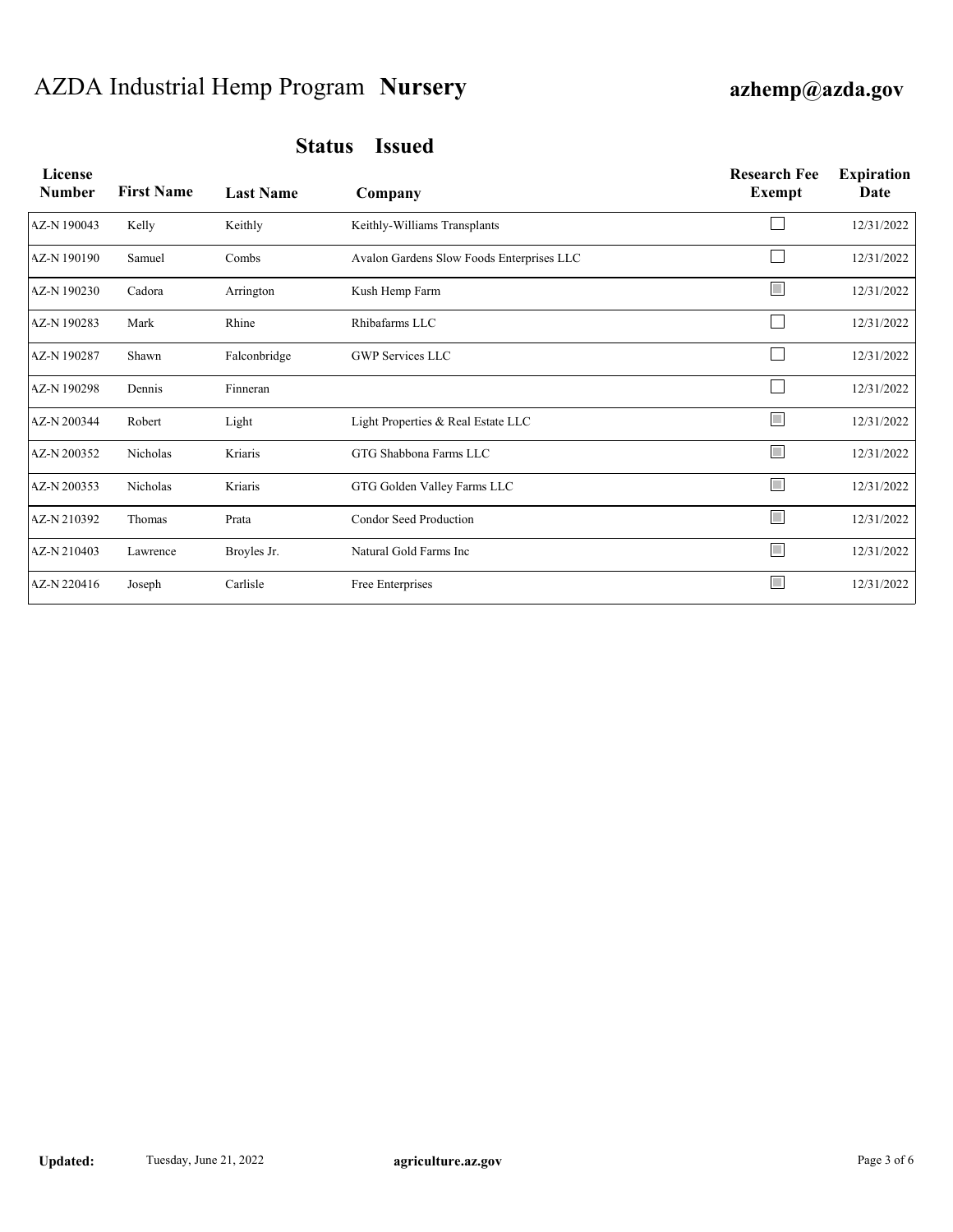## AZDA Industrial Hemp Program **Nursery azhemp@azda.gov**

| License<br><b>Number</b> | <b>First Name</b> | <b>Last Name</b> | Company                                   | <b>Research Fee</b><br>Exempt | <b>Expiration</b><br>Date |
|--------------------------|-------------------|------------------|-------------------------------------------|-------------------------------|---------------------------|
| AZ-N 190043              | Kelly             | Keithly          | Keithly-Williams Transplants              |                               | 12/31/2022                |
| AZ-N 190190              | Samuel            | Combs            | Avalon Gardens Slow Foods Enterprises LLC |                               | 12/31/2022                |
| AZ-N 190230              | Cadora            | Arrington        | Kush Hemp Farm                            | $\overline{\phantom{a}}$      | 12/31/2022                |
| AZ-N 190283              | Mark              | Rhine            | Rhibafarms LLC                            |                               | 12/31/2022                |
| AZ-N 190287              | Shawn             | Falconbridge     | <b>GWP Services LLC</b>                   |                               | 12/31/2022                |
| AZ-N 190298              | Dennis            | Finneran         |                                           |                               | 12/31/2022                |
| AZ-N 200344              | Robert            | Light            | Light Properties & Real Estate LLC        | $\mathbb{R}^n$                | 12/31/2022                |
| AZ-N 200352              | Nicholas          | Kriaris          | GTG Shabbona Farms LLC                    | $\mathcal{L}_{\mathcal{A}}$   | 12/31/2022                |
| AZ-N 200353              | Nicholas          | Kriaris          | GTG Golden Valley Farms LLC               | $\overline{\mathbb{R}^n}$     | 12/31/2022                |
| AZ-N 210392              | Thomas            | Prata            | Condor Seed Production                    | $\overline{\mathbb{R}^n}$     | 12/31/2022                |
| AZ-N 210403              | Lawrence          | Broyles Jr.      | Natural Gold Farms Inc                    | $\Box$                        | 12/31/2022                |
| AZ-N 220416              | Joseph            | Carlisle         | Free Enterprises                          | $\overline{\mathbb{R}^2}$     | 12/31/2022                |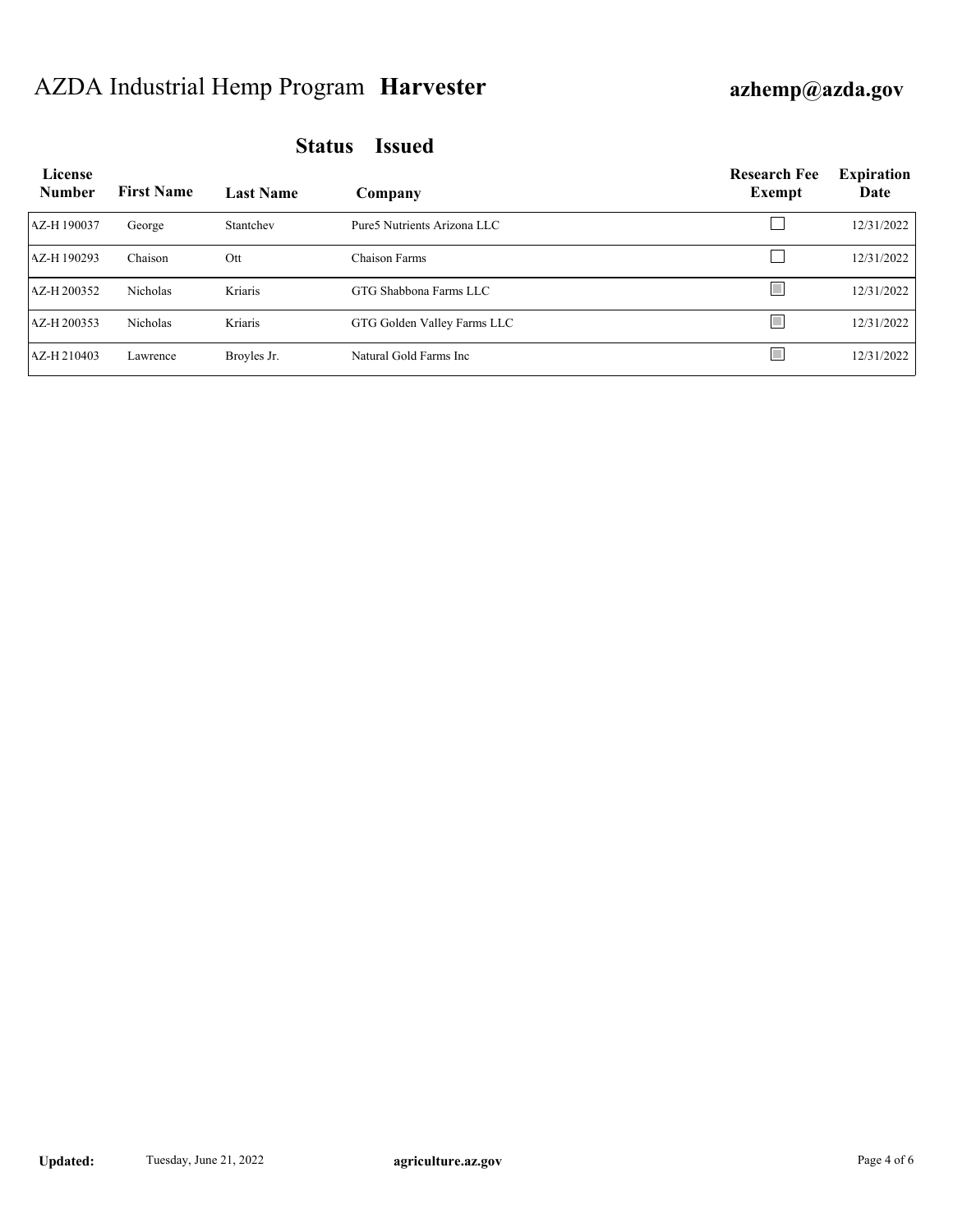## AZDA Industrial Hemp Program **Harvester azhemp@azda.gov**

| License<br><b>Number</b> | <b>First Name</b> | <b>Last Name</b> | Company                      | <b>Research Fee</b><br><b>Exempt</b> | <b>Expiration</b><br>Date |
|--------------------------|-------------------|------------------|------------------------------|--------------------------------------|---------------------------|
| AZ-H190037               | George            | Stantchev        | Pure 5 Nutrients Arizona LLC |                                      | 12/31/2022                |
| AZ-H190293               | Chaison           | Ott              | Chaison Farms                |                                      | 12/31/2022                |
| AZ-H200352               | Nicholas          | Kriaris          | GTG Shabbona Farms LLC       |                                      | 12/31/2022                |
| AZ-H200353               | <b>Nicholas</b>   | Kriaris          | GTG Golden Valley Farms LLC  |                                      | 12/31/2022                |
| AZ-H 210403              | Lawrence          | Broyles Jr.      | Natural Gold Farms Inc.      |                                      | 12/31/2022                |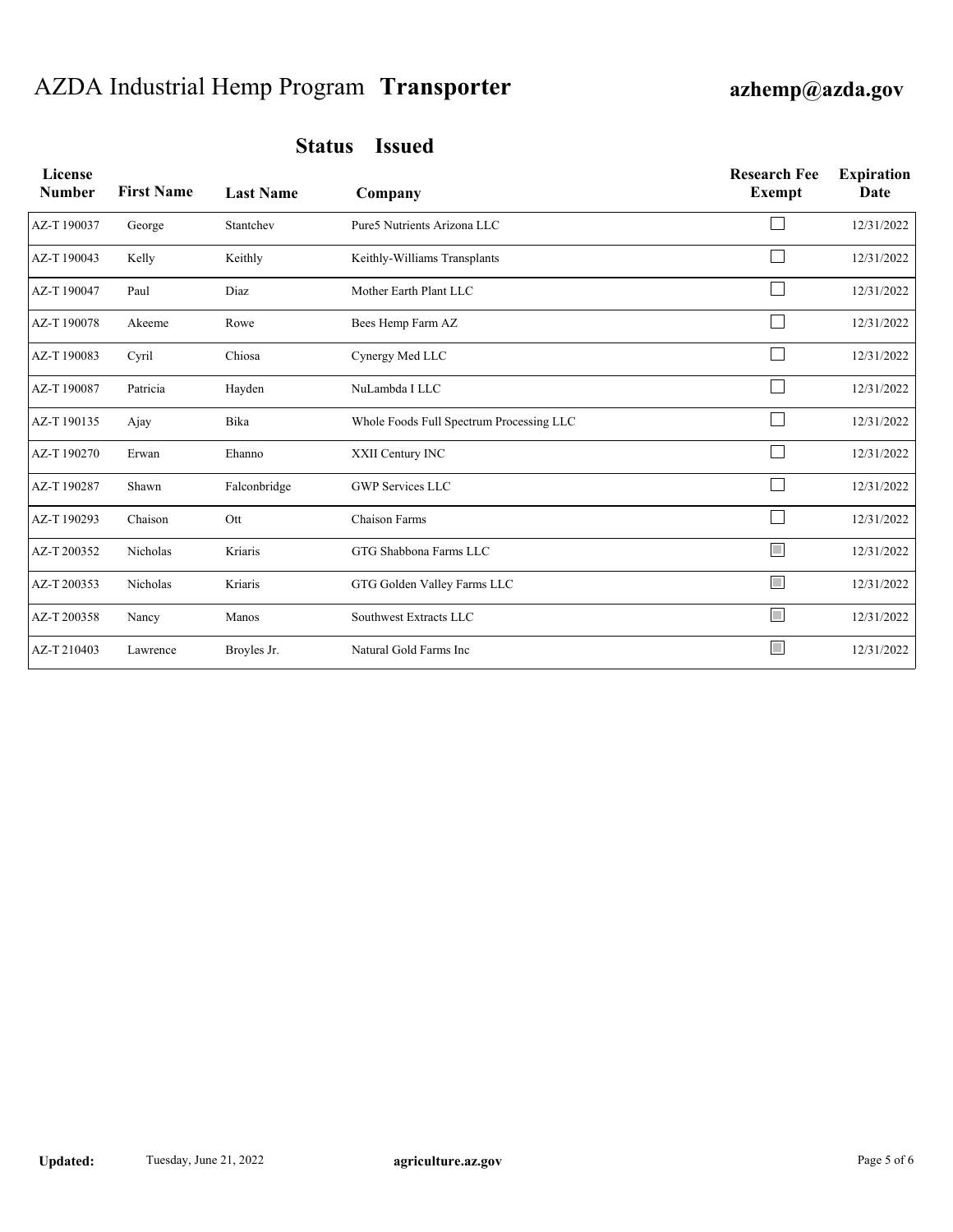## AZDA Industrial Hemp Program **Transporter azhemp@azda.gov**

| License<br><b>Number</b> | <b>First Name</b> | <b>Last Name</b> | Company                                  | <b>Research Fee</b><br>Exempt | <b>Expiration</b><br>Date |
|--------------------------|-------------------|------------------|------------------------------------------|-------------------------------|---------------------------|
| AZ-T190037               | George            | Stantchev        | Pure5 Nutrients Arizona LLC              |                               | 12/31/2022                |
| AZ-T190043               | Kelly             | Keithly          | Keithly-Williams Transplants             |                               | 12/31/2022                |
| AZ-T190047               | Paul              | Diaz             | Mother Earth Plant LLC                   |                               | 12/31/2022                |
| AZ-T190078               | Akeeme            | Rowe             | Bees Hemp Farm AZ                        |                               | 12/31/2022                |
| AZ-T190083               | Cyril             | Chiosa           | Cynergy Med LLC                          |                               | 12/31/2022                |
| AZ-T190087               | Patricia          | Hayden           | NuLambda I LLC                           |                               | 12/31/2022                |
| AZ-T190135               | Ajay              | Bika             | Whole Foods Full Spectrum Processing LLC |                               | 12/31/2022                |
| AZ-T190270               | Erwan             | Ehanno           | XXII Century INC                         |                               | 12/31/2022                |
| AZ-T190287               | Shawn             | Falconbridge     | <b>GWP Services LLC</b>                  |                               | 12/31/2022                |
| AZ-T190293               | Chaison           | Ott              | <b>Chaison Farms</b>                     |                               | 12/31/2022                |
| AZ-T200352               | Nicholas          | Kriaris          | GTG Shabbona Farms LLC                   | $\mathcal{L}_{\mathcal{A}}$   | 12/31/2022                |
| AZ-T 200353              | Nicholas          | Kriaris          | GTG Golden Valley Farms LLC              | П                             | 12/31/2022                |
| AZ-T200358               | Nancy             | Manos            | Southwest Extracts LLC                   | Г                             | 12/31/2022                |
| AZ-T210403               | Lawrence          | Broyles Jr.      | Natural Gold Farms Inc                   | $\mathcal{L}_{\mathcal{A}}$   | 12/31/2022                |